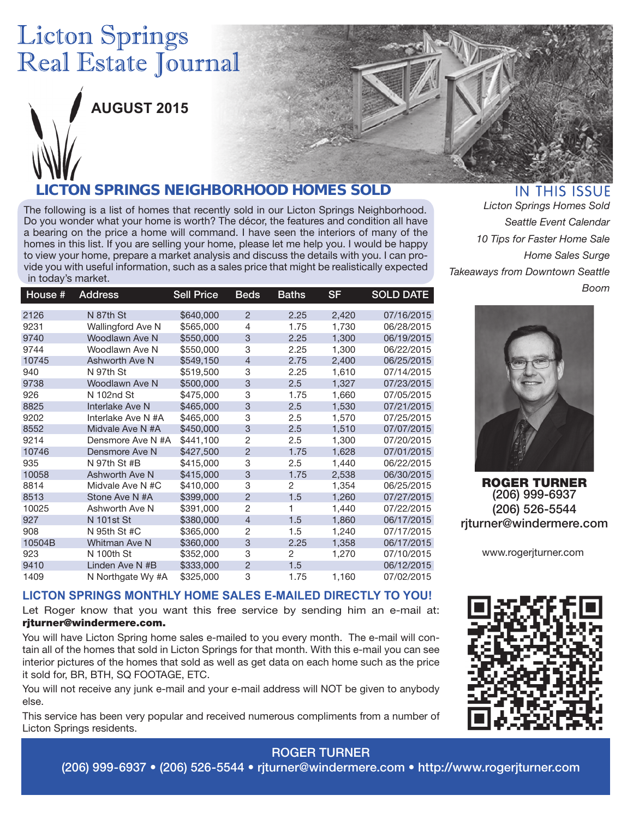# **Licton Springs** Real Estate Journal



**AUGUST 2015**

### *LICTON SPRINGS NEIGHBORHOOD HOMES SOLD*

The following is a list of homes that recently sold in our Licton Springs Neighborhood. Do you wonder what your home is worth? The décor, the features and condition all have a bearing on the price a home will command. I have seen the interiors of many of the homes in this list. If you are selling your home, please let me help you. I would be happy to view your home, prepare a market analysis and discuss the details with you. I can provide you with useful information, such as a sales price that might be realistically expected in today's market.

| House # | <b>Address</b>           | <b>Sell Price</b> | <b>Beds</b>    | Baths          | SF    | <b>SOLD DATE</b> |
|---------|--------------------------|-------------------|----------------|----------------|-------|------------------|
| 2126    | N 87th St                | \$640,000         | $\overline{2}$ | 2.25           | 2,420 | 07/16/2015       |
| 9231    | <b>Wallingford Ave N</b> | \$565,000         | 4              | 1.75           | 1,730 | 06/28/2015       |
| 9740    | Woodlawn Ave N           | \$550,000         | 3              | 2.25           | 1,300 | 06/19/2015       |
| 9744    | Woodlawn Ave N           | \$550,000         | 3              | 2.25           | 1,300 | 06/22/2015       |
| 10745   | Ashworth Ave N           | \$549,150         | $\overline{4}$ | 2.75           | 2,400 | 06/25/2015       |
| 940     | N 97th St                | \$519,500         | 3              | 2.25           | 1,610 | 07/14/2015       |
| 9738    | Woodlawn Ave N           | \$500,000         | 3              | 2.5            | 1,327 | 07/23/2015       |
| 926     | N 102nd St               | \$475,000         | 3              | 1.75           | 1,660 | 07/05/2015       |
| 8825    | Interlake Ave N          | \$465,000         | 3              | 2.5            | 1,530 | 07/21/2015       |
| 9202    | Interlake Ave N #A       | \$465,000         | 3              | 2.5            | 1,570 | 07/25/2015       |
| 8552    | Midvale Ave N #A         | \$450,000         | 3              | 2.5            | 1,510 | 07/07/2015       |
| 9214    | Densmore Ave N #A        | \$441,100         | $\overline{2}$ | 2.5            | 1,300 | 07/20/2015       |
| 10746   | Densmore Ave N           | \$427,500         | $\overline{2}$ | 1.75           | 1,628 | 07/01/2015       |
| 935     | N 97th St #B             | \$415,000         | 3              | 2.5            | 1,440 | 06/22/2015       |
| 10058   | Ashworth Ave N           | \$415,000         | 3              | 1.75           | 2,538 | 06/30/2015       |
| 8814    | Midvale Ave N #C         | \$410,000         | 3              | $\overline{2}$ | 1,354 | 06/25/2015       |
| 8513    | Stone Ave N #A           | \$399,000         | $\overline{2}$ | 1.5            | 1,260 | 07/27/2015       |
| 10025   | Ashworth Ave N           | \$391,000         | $\overline{2}$ | 1              | 1,440 | 07/22/2015       |
| 927     | N 101st St               | \$380,000         | $\overline{4}$ | 1.5            | 1,860 | 06/17/2015       |
| 908     | N 95th St #C             | \$365,000         | $\overline{2}$ | 1.5            | 1,240 | 07/17/2015       |
| 10504B  | Whitman Ave N            | \$360,000         | 3              | 2.25           | 1,358 | 06/17/2015       |
| 923     | N 100th St               | \$352,000         | 3              | $\overline{2}$ | 1,270 | 07/10/2015       |
| 9410    | Linden Ave N #B          | \$333,000         | $\overline{2}$ | 1.5            |       | 06/12/2015       |
| 1409    | N Northgate Wy #A        | \$325,000         | 3              | 1.75           | 1,160 | 07/02/2015       |

#### IN THIS ISSUE *Licton Springs Homes Sold*

*Seattle Event Calendar 10 Tips for Faster Home Sale Home Sales Surge Takeaways from Downtown Seattle Boom*



ROGER TURNER (206) 999-6937 (206) 526-5544 rjturner@windermere.com

www.rogerjturner.com

#### **LICTON SPRINGS MONTHLY HOME SALES E-MAILED DIRECTLY TO YOU!**

Let Roger know that you want this free service by sending him an e-mail at: rjturner@windermere.com.

You will have Licton Spring home sales e-mailed to you every month. The e-mail will contain all of the homes that sold in Licton Springs for that month. With this e-mail you can see interior pictures of the homes that sold as well as get data on each home such as the price it sold for, BR, BTH, SQ FOOTAGE, ETC.

You will not receive any junk e-mail and your e-mail address will NOT be given to anybody else.

This service has been very popular and received numerous compliments from a number of Licton Springs residents.



ROGER TURNER

(206) 999-6937 • (206) 526-5544 • rjturner@windermere.com • http://www.rogerjturner.com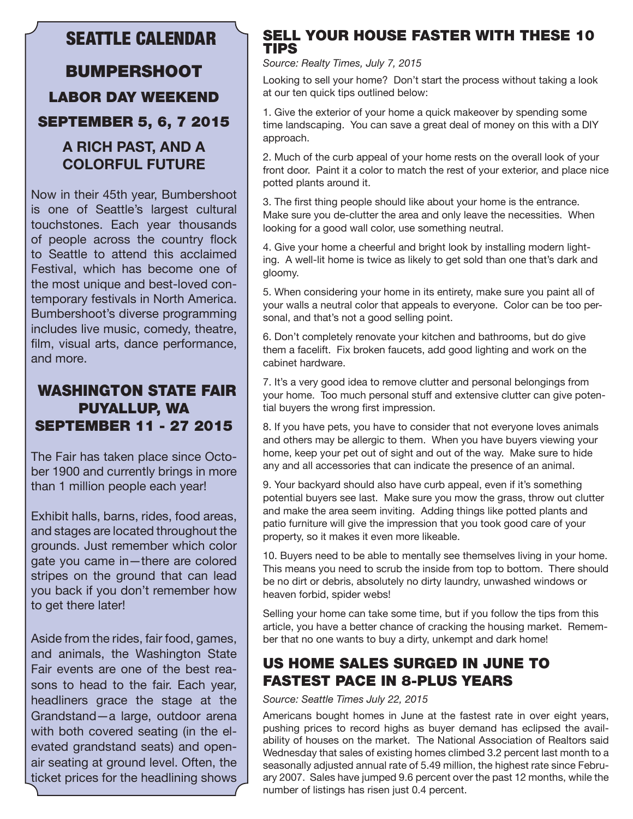### SEATTLE CALENDAR

## BUMPERSHOOT LABOR DAY WEEKEND SEPTEMBER 5, 6, 7 2015

### **A RICH PAST, AND A COLORFUL FUTURE**

Now in their 45th year, Bumbershoot is one of Seattle's largest cultural touchstones. Each year thousands of people across the country flock to Seattle to attend this acclaimed Festival, which has become one of the most unique and best-loved contemporary festivals in North America. Bumbershoot's diverse programming includes live music, comedy, theatre, film, visual arts, dance performance, and more.

#### WASHINGTON STATE FAIR PUYALLUP, WA SEPTEMBER 11 - 27 2015

The Fair has taken place since October 1900 and currently brings in more than 1 million people each year!

Exhibit halls, barns, rides, food areas, and stages are located throughout the grounds. Just remember which color gate you came in—there are colored stripes on the ground that can lead you back if you don't remember how to get there later!

Aside from the rides, fair food, games, and animals, the Washington State Fair events are one of the best reasons to head to the fair. Each year, headliners grace the stage at the Grandstand—a large, outdoor arena with both covered seating (in the elevated grandstand seats) and openair seating at ground level. Often, the ticket prices for the headlining shows

#### SELL YOUR HOUSE FASTER WITH THESE 10 TIPS

#### *Source: Realty Times, July 7, 2015*

Looking to sell your home? Don't start the process without taking a look at our ten quick tips outlined below:

1. Give the exterior of your home a quick makeover by spending some time landscaping. You can save a great deal of money on this with a DIY approach.

2. Much of the curb appeal of your home rests on the overall look of your front door. Paint it a color to match the rest of your exterior, and place nice potted plants around it.

3. The first thing people should like about your home is the entrance. Make sure you de-clutter the area and only leave the necessities. When looking for a good wall color, use something neutral.

4. Give your home a cheerful and bright look by installing modern lighting. A well-lit home is twice as likely to get sold than one that's dark and gloomy.

5. When considering your home in its entirety, make sure you paint all of your walls a neutral color that appeals to everyone. Color can be too personal, and that's not a good selling point.

6. Don't completely renovate your kitchen and bathrooms, but do give them a facelift. Fix broken faucets, add good lighting and work on the cabinet hardware.

7. It's a very good idea to remove clutter and personal belongings from your home. Too much personal stuff and extensive clutter can give potential buyers the wrong first impression.

8. If you have pets, you have to consider that not everyone loves animals and others may be allergic to them. When you have buyers viewing your home, keep your pet out of sight and out of the way. Make sure to hide any and all accessories that can indicate the presence of an animal.

9. Your backyard should also have curb appeal, even if it's something potential buyers see last. Make sure you mow the grass, throw out clutter and make the area seem inviting. Adding things like potted plants and patio furniture will give the impression that you took good care of your property, so it makes it even more likeable.

10. Buyers need to be able to mentally see themselves living in your home. This means you need to scrub the inside from top to bottom. There should be no dirt or debris, absolutely no dirty laundry, unwashed windows or heaven forbid, spider webs!

Selling your home can take some time, but if you follow the tips from this article, you have a better chance of cracking the housing market. Remember that no one wants to buy a dirty, unkempt and dark home!

### US HOME SALES SURGED IN JUNE TO FASTEST PACE IN 8-PLUS YEARS

*Source: Seattle Times July 22, 2015* 

Americans bought homes in June at the fastest rate in over eight years, pushing prices to record highs as buyer demand has eclipsed the availability of houses on the market. The National Association of Realtors said Wednesday that sales of existing homes climbed 3.2 percent last month to a seasonally adjusted annual rate of 5.49 million, the highest rate since February 2007. Sales have jumped 9.6 percent over the past 12 months, while the number of listings has risen just 0.4 percent.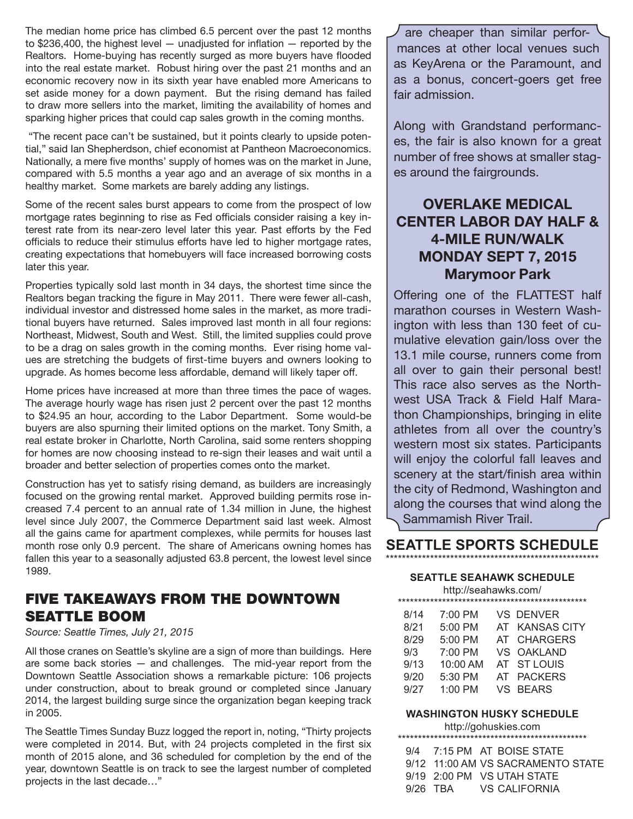The median home price has climbed 6.5 percent over the past 12 months to \$236,400, the highest level — unadjusted for inflation — reported by the Realtors. Home-buying has recently surged as more buyers have flooded into the real estate market. Robust hiring over the past 21 months and an economic recovery now in its sixth year have enabled more Americans to set aside money for a down payment. But the rising demand has failed to draw more sellers into the market, limiting the availability of homes and sparking higher prices that could cap sales growth in the coming months.

 "The recent pace can't be sustained, but it points clearly to upside potential," said Ian Shepherdson, chief economist at Pantheon Macroeconomics. Nationally, a mere five months' supply of homes was on the market in June, compared with 5.5 months a year ago and an average of six months in a healthy market. Some markets are barely adding any listings.

Some of the recent sales burst appears to come from the prospect of low mortgage rates beginning to rise as Fed officials consider raising a key interest rate from its near-zero level later this year. Past efforts by the Fed officials to reduce their stimulus efforts have led to higher mortgage rates, creating expectations that homebuyers will face increased borrowing costs later this year.

Properties typically sold last month in 34 days, the shortest time since the Realtors began tracking the figure in May 2011. There were fewer all-cash, individual investor and distressed home sales in the market, as more traditional buyers have returned. Sales improved last month in all four regions: Northeast, Midwest, South and West. Still, the limited supplies could prove to be a drag on sales growth in the coming months. Ever rising home values are stretching the budgets of first-time buyers and owners looking to upgrade. As homes become less affordable, demand will likely taper off.

Home prices have increased at more than three times the pace of wages. The average hourly wage has risen just 2 percent over the past 12 months to \$24.95 an hour, according to the Labor Department. Some would-be buyers are also spurning their limited options on the market. Tony Smith, a real estate broker in Charlotte, North Carolina, said some renters shopping for homes are now choosing instead to re-sign their leases and wait until a broader and better selection of properties comes onto the market.

Construction has yet to satisfy rising demand, as builders are increasingly focused on the growing rental market. Approved building permits rose increased 7.4 percent to an annual rate of 1.34 million in June, the highest level since July 2007, the Commerce Department said last week. Almost all the gains came for apartment complexes, while permits for houses last month rose only 0.9 percent. The share of Americans owning homes has fallen this year to a seasonally adjusted 63.8 percent, the lowest level since 1989.

### FIVE TAKEAWAYS FROM THE DOWNTOWN SEATTLE BOOM

#### *Source: Seattle Times, July 21, 2015*

All those cranes on Seattle's skyline are a sign of more than buildings. Here are some back stories — and challenges. The mid-year report from the Downtown Seattle Association shows a remarkable picture: 106 projects under construction, about to break ground or completed since January 2014, the largest building surge since the organization began keeping track in 2005.

The Seattle Times Sunday Buzz logged the report in, noting, "Thirty projects were completed in 2014. But, with 24 projects completed in the first six month of 2015 alone, and 36 scheduled for completion by the end of the year, downtown Seattle is on track to see the largest number of completed projects in the last decade…"

are cheaper than similar performances at other local venues such as KeyArena or the Paramount, and as a bonus, concert-goers get free fair admission.

Along with Grandstand performances, the fair is also known for a great number of free shows at smaller stages around the fairgrounds.

### **OVERLAKE MEDICAL CENTER LABOR DAY HALF & 4-MILE RUN/WALK MONDAY SEPT 7, 2015 Marymoor Park**

Offering one of the FLATTEST half marathon courses in Western Washington with less than 130 feet of cumulative elevation gain/loss over the 13.1 mile course, runners come from all over to gain their personal best! This race also serves as the Northwest USA Track & Field Half Marathon Championships, bringing in elite athletes from all over the country's western most six states. Participants will enjoy the colorful fall leaves and scenery at the start/finish area within the city of Redmond, Washington and along the courses that wind along the Sammamish River Trail.

#### **SEATTLE SPORTS SCHEDULE** \*\*\*\*\*\*\*\*\*\*\*\*\*\*\*\*\*\*\*\*\*\*\*\*\*\*\*\*\*\*\*\*\*\*\*\*\*\*\*\*\*\*\*\*\*\*\*\*\*\*\*\*\*

#### **SEATTLE SEAHAWK SCHEDULE**

| http://seahawks.com/ |                   |  |                  |
|----------------------|-------------------|--|------------------|
|                      |                   |  |                  |
| 8/14                 | $7:00 \text{ PM}$ |  | <b>VS DENVER</b> |
| 8/21                 | $5:00$ PM         |  | AT KANSAS CITY   |
| 8/29                 | 5:00 PM           |  | AT CHARGERS      |
| 9/3                  | $7:00 \text{ PM}$ |  | VS OAKLAND       |

| 9/13 | $10:00$ AM | AT STLOUIS |
|------|------------|------------|
| 9/20 | $5:30$ PM  | AT PACKERS |

#### 9/27 1:00 PM VS BEARS

#### **WASHINGTON HUSKY SCHEDULE**

http://gohuskies.com \*\*\*\*\*\*\*\*\*\*\*\*\*\*\*\*\*\*\*\*\*\*\*\*\*\*\*\*\*\*\*\*\*\*\*\*\*\*\*\*\*\*\*\*\*\*\*

|  |  | 9/4 7:15 PM AT BOISE STATE        |
|--|--|-----------------------------------|
|  |  | 9/12 11:00 AM VS SACRAMENTO STATE |
|  |  | $9/19$ 2:00 PM VS UTAH STATE      |
|  |  | 9/26 TBA VS CALIFORNIA            |